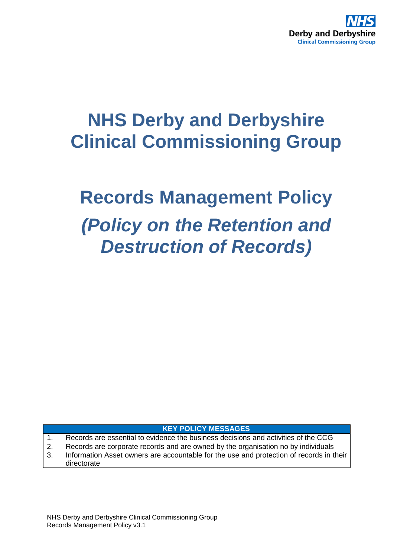

## **NHS Derby and Derbyshire Clinical Commissioning Group**

# **Records Management Policy** *(Policy on the Retention and Destruction of Records)*

**KEY POLICY MESSAGES**

1. Records are essential to evidence the business decisions and activities of the CCG 2. Records are corporate records and are owned by the organisation no by individuals 3. Information Asset owners are accountable for the use and protection of records in their directorate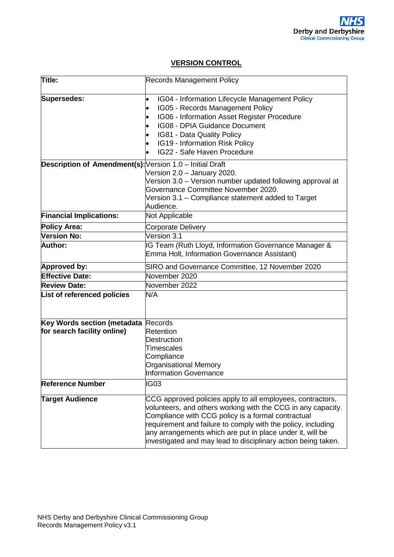## **VERSION CONTROL**

| Title:                                                   | <b>Records Management Policy</b>                                                                                                                                                                                                                                                                                                                                               |  |  |
|----------------------------------------------------------|--------------------------------------------------------------------------------------------------------------------------------------------------------------------------------------------------------------------------------------------------------------------------------------------------------------------------------------------------------------------------------|--|--|
| Supersedes:                                              | IG04 - Information Lifecycle Management Policy<br>$\bullet$<br>IG05 - Records Management Policy<br>IG06 - Information Asset Register Procedure<br>IG08 - DPIA Guidance Document<br>IG81 - Data Quality Policy<br>IG19 - Information Risk Policy<br>IG22 - Safe Haven Procedure                                                                                                 |  |  |
| Description of Amendment(s): Version 1.0 - Initial Draft | Version 2.0 - January 2020.<br>Version 3.0 - Version number updated following approval at<br>Governance Committee November 2020.<br>Version 3.1 – Compliance statement added to Target<br>Audience.                                                                                                                                                                            |  |  |
| <b>Financial Implications:</b>                           | Not Applicable                                                                                                                                                                                                                                                                                                                                                                 |  |  |
| <b>Policy Area:</b>                                      | <b>Corporate Delivery</b>                                                                                                                                                                                                                                                                                                                                                      |  |  |
| Version No:                                              | Version 3.1                                                                                                                                                                                                                                                                                                                                                                    |  |  |
| Author:                                                  | IG Team (Ruth Lloyd, Information Governance Manager &<br>Emma Holt, Information Governance Assistant)                                                                                                                                                                                                                                                                          |  |  |
| Approved by:                                             | SIRO and Governance Committee, 12 November 2020                                                                                                                                                                                                                                                                                                                                |  |  |
| <b>Effective Date:</b>                                   | November 2020                                                                                                                                                                                                                                                                                                                                                                  |  |  |
| <b>Review Date:</b>                                      | November 2022                                                                                                                                                                                                                                                                                                                                                                  |  |  |
| List of referenced policies                              | N/A                                                                                                                                                                                                                                                                                                                                                                            |  |  |
| Key Words section (metadata                              | Records                                                                                                                                                                                                                                                                                                                                                                        |  |  |
| for search facility online)                              | <b>Retention</b>                                                                                                                                                                                                                                                                                                                                                               |  |  |
|                                                          | <b>Destruction</b>                                                                                                                                                                                                                                                                                                                                                             |  |  |
|                                                          | <b>Timescales</b>                                                                                                                                                                                                                                                                                                                                                              |  |  |
|                                                          | Compliance                                                                                                                                                                                                                                                                                                                                                                     |  |  |
|                                                          | <b>Organisational Memory</b><br>Information Governance                                                                                                                                                                                                                                                                                                                         |  |  |
| <b>Reference Number</b>                                  | IG03                                                                                                                                                                                                                                                                                                                                                                           |  |  |
| <b>Target Audience</b>                                   | CCG approved policies apply to all employees, contractors,<br>volunteers, and others working with the CCG in any capacity.<br>Compliance with CCG policy is a formal contractual<br>requirement and failure to comply with the policy, including<br>any arrangements which are put in place under it, will be<br>investigated and may lead to disciplinary action being taken. |  |  |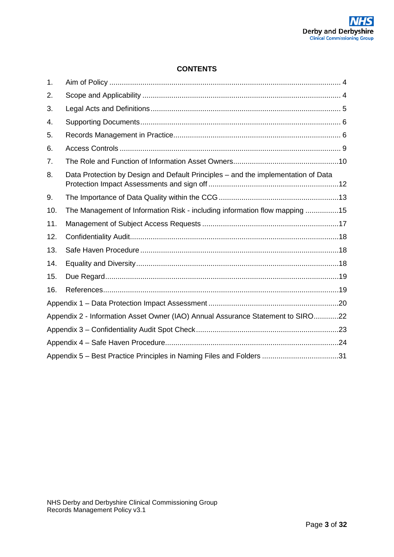## **CONTENTS**

| 1.  |                                                                                   |  |  |
|-----|-----------------------------------------------------------------------------------|--|--|
| 2.  |                                                                                   |  |  |
| 3.  |                                                                                   |  |  |
| 4.  |                                                                                   |  |  |
| 5.  |                                                                                   |  |  |
| 6.  |                                                                                   |  |  |
| 7.  |                                                                                   |  |  |
| 8.  | Data Protection by Design and Default Principles - and the implementation of Data |  |  |
| 9.  |                                                                                   |  |  |
| 10. | The Management of Information Risk - including information flow mapping 15        |  |  |
| 11. |                                                                                   |  |  |
| 12. |                                                                                   |  |  |
| 13. |                                                                                   |  |  |
| 14. |                                                                                   |  |  |
| 15. |                                                                                   |  |  |
| 16. |                                                                                   |  |  |
|     |                                                                                   |  |  |
|     | Appendix 2 - Information Asset Owner (IAO) Annual Assurance Statement to SIRO22   |  |  |
|     |                                                                                   |  |  |
|     |                                                                                   |  |  |
|     | Appendix 5 - Best Practice Principles in Naming Files and Folders 31              |  |  |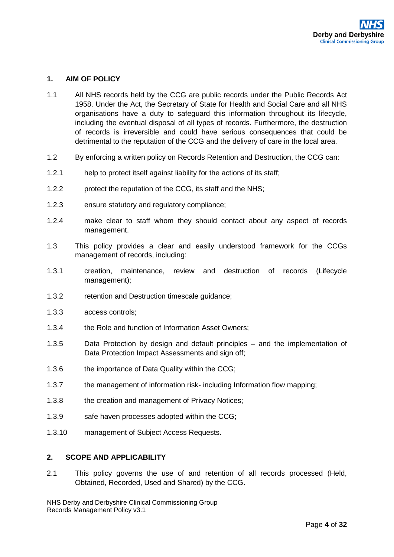#### <span id="page-3-0"></span>**1. AIM OF POLICY**

- 1.1 All NHS records held by the CCG are public records under the Public Records Act 1958. Under the Act, the Secretary of State for Health and Social Care and all NHS organisations have a duty to safeguard this information throughout its lifecycle, including the eventual disposal of all types of records. Furthermore, the destruction of records is irreversible and could have serious consequences that could be detrimental to the reputation of the CCG and the delivery of care in the local area.
- 1.2 By enforcing a written policy on Records Retention and Destruction, the CCG can:
- 1.2.1 help to protect itself against liability for the actions of its staff;
- 1.2.2 protect the reputation of the CCG, its staff and the NHS;
- 1.2.3 ensure statutory and regulatory compliance;
- 1.2.4 make clear to staff whom they should contact about any aspect of records management.
- 1.3 This policy provides a clear and easily understood framework for the CCGs management of records, including:
- 1.3.1 creation, maintenance, review and destruction of records (Lifecycle management);
- 1.3.2 retention and Destruction timescale guidance;
- 1.3.3 access controls;
- 1.3.4 the Role and function of Information Asset Owners;
- 1.3.5 Data Protection by design and default principles and the implementation of Data Protection Impact Assessments and sign off;
- 1.3.6 the importance of Data Quality within the CCG;
- 1.3.7 the management of information risk- including Information flow mapping;
- 1.3.8 the creation and management of Privacy Notices;
- 1.3.9 safe haven processes adopted within the CCG;
- <span id="page-3-1"></span>1.3.10 management of Subject Access Requests.

#### **2. SCOPE AND APPLICABILITY**

2.1 This policy governs the use of and retention of all records processed (Held, Obtained, Recorded, Used and Shared) by the CCG.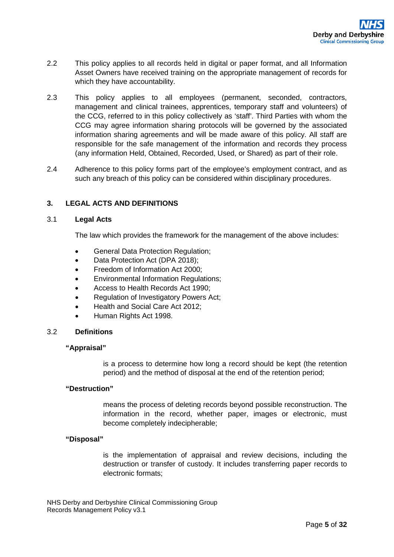- 2.2 This policy applies to all records held in digital or paper format, and all Information Asset Owners have received training on the appropriate management of records for which they have accountability.
- 2.3 This policy applies to all employees (permanent, seconded, contractors, management and clinical trainees, apprentices, temporary staff and volunteers) of the CCG, referred to in this policy collectively as 'staff'. Third Parties with whom the CCG may agree information sharing protocols will be governed by the associated information sharing agreements and will be made aware of this policy. All staff are responsible for the safe management of the information and records they process (any information Held, Obtained, Recorded, Used, or Shared) as part of their role.
- 2.4 Adherence to this policy forms part of the employee's employment contract, and as such any breach of this policy can be considered within disciplinary procedures.

## <span id="page-4-0"></span>**3. LEGAL ACTS AND DEFINITIONS**

#### 3.1 **Legal Acts**

The law which provides the framework for the management of the above includes:

- General Data Protection Regulation;
- Data Protection Act (DPA 2018);
- Freedom of Information Act 2000;
- Environmental Information Regulations;
- Access to Health Records Act 1990;
- Regulation of Investigatory Powers Act;
- Health and Social Care Act 2012;
- Human Rights Act 1998.

#### 3.2 **Definitions**

#### **"Appraisal"**

is a process to determine how long a record should be kept (the retention period) and the method of disposal at the end of the retention period;

#### **"Destruction"**

means the process of deleting records beyond possible reconstruction. The information in the record, whether paper, images or electronic, must become completely indecipherable;

#### **"Disposal"**

is the implementation of appraisal and review decisions, including the destruction or transfer of custody. It includes transferring paper records to electronic formats;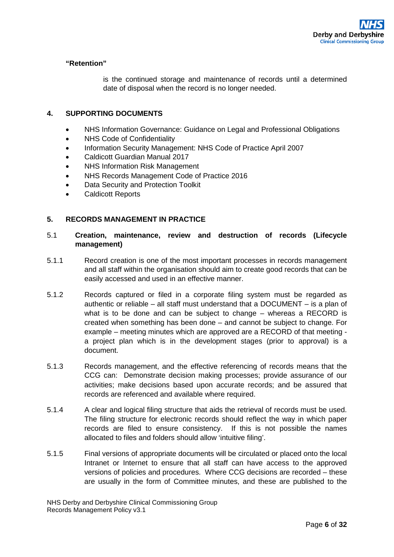#### **"Retention"**

is the continued storage and maintenance of records until a determined date of disposal when the record is no longer needed.

## <span id="page-5-0"></span>**4. SUPPORTING DOCUMENTS**

- NHS Information Governance: Guidance on Legal and Professional Obligations
- NHS Code of Confidentiality
- Information Security Management: NHS Code of Practice April 2007
- Caldicott Guardian Manual 2017
- NHS Information Risk Management
- NHS Records Management Code of Practice 2016
- Data Security and Protection Toolkit
- Caldicott Reports

## <span id="page-5-1"></span>**5. RECORDS MANAGEMENT IN PRACTICE**

## 5.1 **Creation, maintenance, review and destruction of records (Lifecycle management)**

- 5.1.1 Record creation is one of the most important processes in records management and all staff within the organisation should aim to create good records that can be easily accessed and used in an effective manner.
- 5.1.2 Records captured or filed in a corporate filing system must be regarded as authentic or reliable – all staff must understand that a DOCUMENT – is a plan of what is to be done and can be subject to change – whereas a RECORD is created when something has been done – and cannot be subject to change. For example – meeting minutes which are approved are a RECORD of that meeting a project plan which is in the development stages (prior to approval) is a document.
- 5.1.3 Records management, and the effective referencing of records means that the CCG can: Demonstrate decision making processes; provide assurance of our activities; make decisions based upon accurate records; and be assured that records are referenced and available where required.
- 5.1.4 A clear and logical filing structure that aids the retrieval of records must be used. The filing structure for electronic records should reflect the way in which paper records are filed to ensure consistency. If this is not possible the names allocated to files and folders should allow 'intuitive filing'.
- 5.1.5 Final versions of appropriate documents will be circulated or placed onto the local Intranet or Internet to ensure that all staff can have access to the approved versions of policies and procedures. Where CCG decisions are recorded – these are usually in the form of Committee minutes, and these are published to the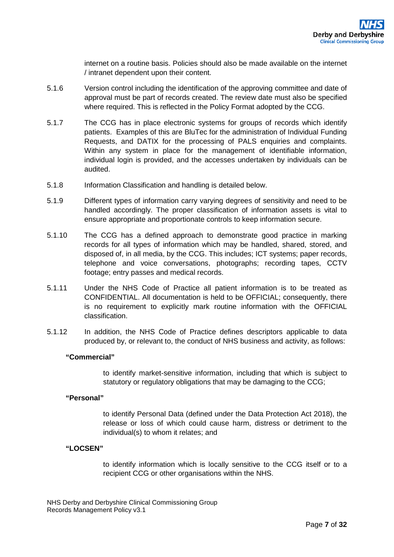internet on a routine basis. Policies should also be made available on the internet / intranet dependent upon their content.

- 5.1.6 Version control including the identification of the approving committee and date of approval must be part of records created. The review date must also be specified where required. This is reflected in the Policy Format adopted by the CCG.
- 5.1.7 The CCG has in place electronic systems for groups of records which identify patients. Examples of this are BluTec for the administration of Individual Funding Requests, and DATIX for the processing of PALS enquiries and complaints. Within any system in place for the management of identifiable information, individual login is provided, and the accesses undertaken by individuals can be audited.
- 5.1.8 Information Classification and handling is detailed below.
- 5.1.9 Different types of information carry varying degrees of sensitivity and need to be handled accordingly. The proper classification of information assets is vital to ensure appropriate and proportionate controls to keep information secure.
- 5.1.10 The CCG has a defined approach to demonstrate good practice in marking records for all types of information which may be handled, shared, stored, and disposed of, in all media, by the CCG. This includes; ICT systems; paper records, telephone and voice conversations, photographs; recording tapes, CCTV footage; entry passes and medical records.
- 5.1.11 Under the NHS Code of Practice all patient information is to be treated as CONFIDENTIAL. All documentation is held to be OFFICIAL; consequently, there is no requirement to explicitly mark routine information with the OFFICIAL classification.
- 5.1.12 In addition, the NHS Code of Practice defines descriptors applicable to data produced by, or relevant to, the conduct of NHS business and activity, as follows:

#### **"Commercial"**

to identify market-sensitive information, including that which is subject to statutory or regulatory obligations that may be damaging to the CCG;

#### **"Personal"**

to identify Personal Data (defined under the Data Protection Act 2018), the release or loss of which could cause harm, distress or detriment to the individual(s) to whom it relates; and

#### **"LOCSEN"**

to identify information which is locally sensitive to the CCG itself or to a recipient CCG or other organisations within the NHS.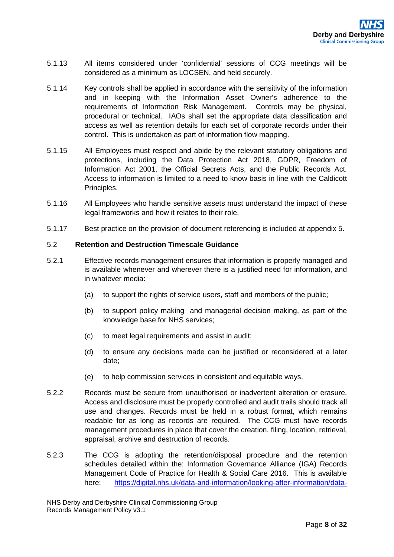- 5.1.13 All items considered under 'confidential' sessions of CCG meetings will be considered as a minimum as LOCSEN, and held securely.
- 5.1.14 Key controls shall be applied in accordance with the sensitivity of the information and in keeping with the Information Asset Owner's adherence to the requirements of Information Risk Management. Controls may be physical, procedural or technical. IAOs shall set the appropriate data classification and access as well as retention details for each set of corporate records under their control. This is undertaken as part of information flow mapping.
- 5.1.15 All Employees must respect and abide by the relevant statutory obligations and protections, including the Data Protection Act 2018, GDPR, Freedom of Information Act 2001, the Official Secrets Acts, and the Public Records Act. Access to information is limited to a need to know basis in line with the Caldicott Principles.
- 5.1.16 All Employees who handle sensitive assets must understand the impact of these legal frameworks and how it relates to their role.
- 5.1.17 Best practice on the provision of document referencing is included at appendix 5.

#### 5.2 **Retention and Destruction Timescale Guidance**

- 5.2.1 Effective records management ensures that information is properly managed and is available whenever and wherever there is a justified need for information, and in whatever media:
	- (a) to support the rights of service users, staff and members of the public;
	- (b) to support policy making and managerial decision making, as part of the knowledge base for NHS services;
	- (c) to meet legal requirements and assist in audit;
	- (d) to ensure any decisions made can be justified or reconsidered at a later date;
	- (e) to help commission services in consistent and equitable ways.
- 5.2.2 Records must be secure from unauthorised or inadvertent alteration or erasure. Access and disclosure must be properly controlled and audit trails should track all use and changes. Records must be held in a robust format, which remains readable for as long as records are required. The CCG must have records management procedures in place that cover the creation, filing, location, retrieval, appraisal, archive and destruction of records.
- 5.2.3 The CCG is adopting the retention/disposal procedure and the retention schedules detailed within the: Information Governance Alliance (IGA) Records Management Code of Practice for Health & Social Care 2016. This is available here: [https://digital.nhs.uk/data-and-information/looking-after-information/data-](https://digital.nhs.uk/data-and-information/looking-after-information/data-security-and-information-governance/codes-of-practice-for-handling-information-in-health-and-care/records-management-code-of-practice-for-health-and-social-care-2016)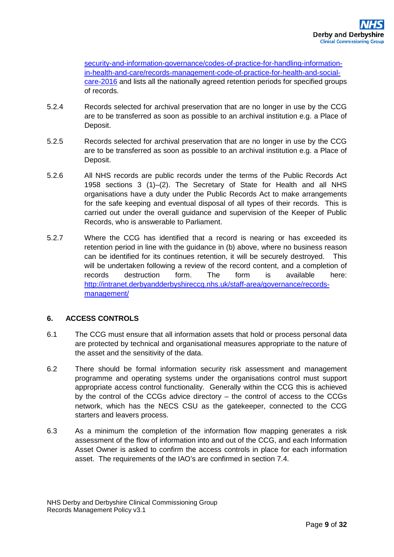[security-and-information-governance/codes-of-practice-for-handling-information](https://digital.nhs.uk/data-and-information/looking-after-information/data-security-and-information-governance/codes-of-practice-for-handling-information-in-health-and-care/records-management-code-of-practice-for-health-and-social-care-2016)[in-health-and-care/records-management-code-of-practice-for-health-and-social](https://digital.nhs.uk/data-and-information/looking-after-information/data-security-and-information-governance/codes-of-practice-for-handling-information-in-health-and-care/records-management-code-of-practice-for-health-and-social-care-2016)[care-2016](https://digital.nhs.uk/data-and-information/looking-after-information/data-security-and-information-governance/codes-of-practice-for-handling-information-in-health-and-care/records-management-code-of-practice-for-health-and-social-care-2016) and lists all the nationally agreed retention periods for specified groups of records.

- 5.2.4 Records selected for archival preservation that are no longer in use by the CCG are to be transferred as soon as possible to an archival institution e.g. a Place of Deposit.
- 5.2.5 Records selected for archival preservation that are no longer in use by the CCG are to be transferred as soon as possible to an archival institution e.g. a Place of Deposit.
- 5.2.6 All NHS records are public records under the terms of the Public Records Act 1958 sections 3 (1)–(2). The Secretary of State for Health and all NHS organisations have a duty under the Public Records Act to make arrangements for the safe keeping and eventual disposal of all types of their records. This is carried out under the overall guidance and supervision of the Keeper of Public Records, who is answerable to Parliament.
- 5.2.7 Where the CCG has identified that a record is nearing or has exceeded its retention period in line with the guidance in (b) above, where no business reason can be identified for its continues retention, it will be securely destroyed. This will be undertaken following a review of the record content, and a completion of records destruction form. The form is available here: [http://intranet.derbyandderbyshireccg.nhs.uk/staff-area/governance/records](http://intranet.derbyandderbyshireccg.nhs.uk/staff-area/governance/records-management/)[management/](http://intranet.derbyandderbyshireccg.nhs.uk/staff-area/governance/records-management/)

## <span id="page-8-0"></span>**6. ACCESS CONTROLS**

- 6.1 The CCG must ensure that all information assets that hold or process personal data are protected by technical and organisational measures appropriate to the nature of the asset and the sensitivity of the data.
- 6.2 There should be formal information security risk assessment and management programme and operating systems under the organisations control must support appropriate access control functionality. Generally within the CCG this is achieved by the control of the CCGs advice directory – the control of access to the CCGs network, which has the NECS CSU as the gatekeeper, connected to the CCG starters and leavers process.
- 6.3 As a minimum the completion of the information flow mapping generates a risk assessment of the flow of information into and out of the CCG, and each Information Asset Owner is asked to confirm the access controls in place for each information asset. The requirements of the IAO's are confirmed in section 7.4.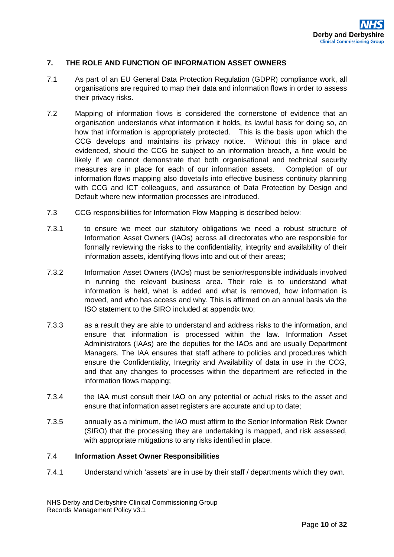#### <span id="page-9-0"></span>**7. THE ROLE AND FUNCTION OF INFORMATION ASSET OWNERS**

- 7.1 As part of an EU General Data Protection Regulation (GDPR) compliance work, all organisations are required to map their data and information flows in order to assess their privacy risks.
- 7.2 Mapping of information flows is considered the cornerstone of evidence that an organisation understands what information it holds, its lawful basis for doing so, an how that information is appropriately protected. This is the basis upon which the CCG develops and maintains its privacy notice. Without this in place and evidenced, should the CCG be subject to an information breach, a fine would be likely if we cannot demonstrate that both organisational and technical security measures are in place for each of our information assets. Completion of our information flows mapping also dovetails into effective business continuity planning with CCG and ICT colleagues, and assurance of Data Protection by Design and Default where new information processes are introduced.
- 7.3 CCG responsibilities for Information Flow Mapping is described below:
- 7.3.1 to ensure we meet our statutory obligations we need a robust structure of Information Asset Owners (IAOs) across all directorates who are responsible for formally reviewing the risks to the confidentiality, integrity and availability of their information assets, identifying flows into and out of their areas;
- 7.3.2 Information Asset Owners (IAOs) must be senior/responsible individuals involved in running the relevant business area. Their role is to understand what information is held, what is added and what is removed, how information is moved, and who has access and why. This is affirmed on an annual basis via the ISO statement to the SIRO included at appendix two;
- 7.3.3 as a result they are able to understand and address risks to the information, and ensure that information is processed within the law. Information Asset Administrators (IAAs) are the deputies for the IAOs and are usually Department Managers. The IAA ensures that staff adhere to policies and procedures which ensure the Confidentiality, Integrity and Availability of data in use in the CCG, and that any changes to processes within the department are reflected in the information flows mapping;
- 7.3.4 the IAA must consult their IAO on any potential or actual risks to the asset and ensure that information asset registers are accurate and up to date;
- 7.3.5 annually as a minimum, the IAO must affirm to the Senior Information Risk Owner (SIRO) that the processing they are undertaking is mapped, and risk assessed, with appropriate mitigations to any risks identified in place.

#### 7.4 **Information Asset Owner Responsibilities**

7.4.1 Understand which 'assets' are in use by their staff / departments which they own.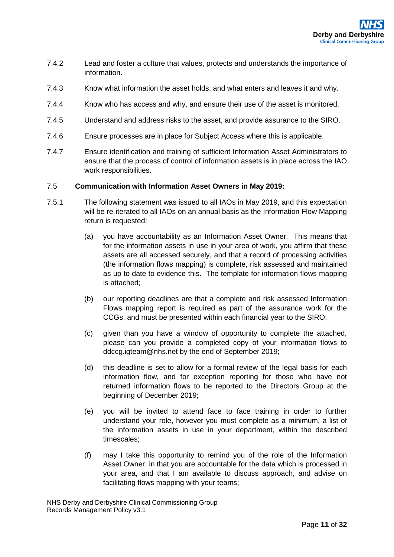- 7.4.2 Lead and foster a culture that values, protects and understands the importance of information.
- 7.4.3 Know what information the asset holds, and what enters and leaves it and why.
- 7.4.4 Know who has access and why, and ensure their use of the asset is monitored.
- 7.4.5 Understand and address risks to the asset, and provide assurance to the SIRO.
- 7.4.6 Ensure processes are in place for Subject Access where this is applicable.
- 7.4.7 Ensure identification and training of sufficient Information Asset Administrators to ensure that the process of control of information assets is in place across the IAO work responsibilities.

#### 7.5 **Communication with Information Asset Owners in May 2019:**

- 7.5.1 The following statement was issued to all IAOs in May 2019, and this expectation will be re-iterated to all IAOs on an annual basis as the Information Flow Mapping return is requested:
	- (a) you have accountability as an Information Asset Owner. This means that for the information assets in use in your area of work, you affirm that these assets are all accessed securely, and that a record of processing activities (the information flows mapping) is complete, risk assessed and maintained as up to date to evidence this. The template for information flows mapping is attached;
	- (b) our reporting deadlines are that a complete and risk assessed Information Flows mapping report is required as part of the assurance work for the CCGs, and must be presented within each financial year to the SIRO;
	- (c) given than you have a window of opportunity to complete the attached, please can you provide a completed copy of your information flows to ddccg.igteam@nhs.net by the end of September 2019;
	- (d) this deadline is set to allow for a formal review of the legal basis for each information flow, and for exception reporting for those who have not returned information flows to be reported to the Directors Group at the beginning of December 2019;
	- (e) you will be invited to attend face to face training in order to further understand your role, however you must complete as a minimum, a list of the information assets in use in your department, within the described timescales;
	- (f) may I take this opportunity to remind you of the role of the Information Asset Owner, in that you are accountable for the data which is processed in your area, and that I am available to discuss approach, and advise on facilitating flows mapping with your teams;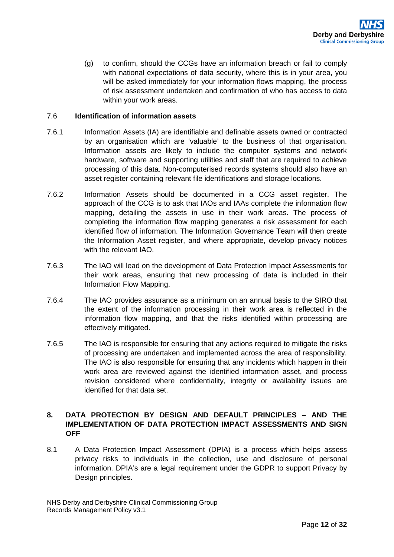(g) to confirm, should the CCGs have an information breach or fail to comply with national expectations of data security, where this is in your area, you will be asked immediately for your information flows mapping, the process of risk assessment undertaken and confirmation of who has access to data within your work areas.

#### 7.6 **Identification of information assets**

- 7.6.1 Information Assets (IA) are identifiable and definable assets owned or contracted by an organisation which are 'valuable' to the business of that organisation. Information assets are likely to include the computer systems and network hardware, software and supporting utilities and staff that are required to achieve processing of this data. Non-computerised records systems should also have an asset register containing relevant file identifications and storage locations.
- 7.6.2 Information Assets should be documented in a CCG asset register. The approach of the CCG is to ask that IAOs and IAAs complete the information flow mapping, detailing the assets in use in their work areas. The process of completing the information flow mapping generates a risk assessment for each identified flow of information. The Information Governance Team will then create the Information Asset register, and where appropriate, develop privacy notices with the relevant IAO.
- 7.6.3 The IAO will lead on the development of Data Protection Impact Assessments for their work areas, ensuring that new processing of data is included in their Information Flow Mapping.
- 7.6.4 The IAO provides assurance as a minimum on an annual basis to the SIRO that the extent of the information processing in their work area is reflected in the information flow mapping, and that the risks identified within processing are effectively mitigated.
- 7.6.5 The IAO is responsible for ensuring that any actions required to mitigate the risks of processing are undertaken and implemented across the area of responsibility. The IAO is also responsible for ensuring that any incidents which happen in their work area are reviewed against the identified information asset, and process revision considered where confidentiality, integrity or availability issues are identified for that data set.

## <span id="page-11-0"></span>**8. DATA PROTECTION BY DESIGN AND DEFAULT PRINCIPLES – AND THE IMPLEMENTATION OF DATA PROTECTION IMPACT ASSESSMENTS AND SIGN OFF**

8.1 A Data Protection Impact Assessment (DPIA) is a process which helps assess privacy risks to individuals in the collection, use and disclosure of personal information. DPIA's are a legal requirement under the GDPR to support Privacy by Design principles.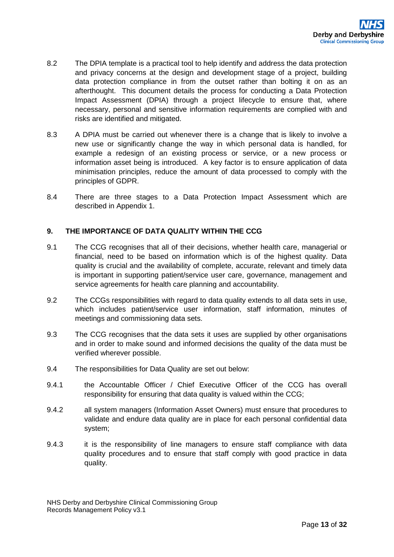- 8.2 The DPIA template is a practical tool to help identify and address the data protection and privacy concerns at the design and development stage of a project, building data protection compliance in from the outset rather than bolting it on as an afterthought. This document details the process for conducting a Data Protection Impact Assessment (DPIA) through a project lifecycle to ensure that, where necessary, personal and sensitive information requirements are complied with and risks are identified and mitigated.
- 8.3 A DPIA must be carried out whenever there is a change that is likely to involve a new use or significantly change the way in which personal data is handled, for example a redesign of an existing process or service, or a new process or information asset being is introduced. A key factor is to ensure application of data minimisation principles, reduce the amount of data processed to comply with the principles of GDPR.
- 8.4 There are three stages to a Data Protection Impact Assessment which are described in Appendix 1.

#### <span id="page-12-0"></span>**9. THE IMPORTANCE OF DATA QUALITY WITHIN THE CCG**

- 9.1 The CCG recognises that all of their decisions, whether health care, managerial or financial, need to be based on information which is of the highest quality. Data quality is crucial and the availability of complete, accurate, relevant and timely data is important in supporting patient/service user care, governance, management and service agreements for health care planning and accountability.
- 9.2 The CCGs responsibilities with regard to data quality extends to all data sets in use, which includes patient/service user information, staff information, minutes of meetings and commissioning data sets.
- 9.3 The CCG recognises that the data sets it uses are supplied by other organisations and in order to make sound and informed decisions the quality of the data must be verified wherever possible.
- 9.4 The responsibilities for Data Quality are set out below:
- 9.4.1 the Accountable Officer / Chief Executive Officer of the CCG has overall responsibility for ensuring that data quality is valued within the CCG;
- 9.4.2 all system managers (Information Asset Owners) must ensure that procedures to validate and endure data quality are in place for each personal confidential data system;
- 9.4.3 it is the responsibility of line managers to ensure staff compliance with data quality procedures and to ensure that staff comply with good practice in data quality.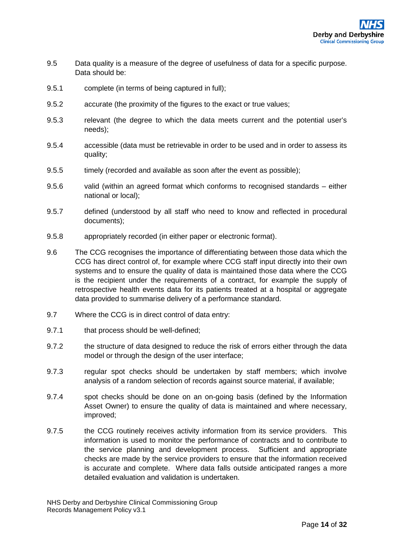- 9.5 Data quality is a measure of the degree of usefulness of data for a specific purpose. Data should be:
- 9.5.1 complete (in terms of being captured in full);
- 9.5.2 accurate (the proximity of the figures to the exact or true values;
- 9.5.3 relevant (the degree to which the data meets current and the potential user's needs);
- 9.5.4 accessible (data must be retrievable in order to be used and in order to assess its quality;
- 9.5.5 timely (recorded and available as soon after the event as possible);
- 9.5.6 valid (within an agreed format which conforms to recognised standards either national or local);
- 9.5.7 defined (understood by all staff who need to know and reflected in procedural documents);
- 9.5.8 appropriately recorded (in either paper or electronic format).
- 9.6 The CCG recognises the importance of differentiating between those data which the CCG has direct control of, for example where CCG staff input directly into their own systems and to ensure the quality of data is maintained those data where the CCG is the recipient under the requirements of a contract, for example the supply of retrospective health events data for its patients treated at a hospital or aggregate data provided to summarise delivery of a performance standard.
- 9.7 Where the CCG is in direct control of data entry:
- 9.7.1 that process should be well-defined;
- 9.7.2 the structure of data designed to reduce the risk of errors either through the data model or through the design of the user interface;
- 9.7.3 regular spot checks should be undertaken by staff members; which involve analysis of a random selection of records against source material, if available;
- 9.7.4 spot checks should be done on an on-going basis (defined by the Information Asset Owner) to ensure the quality of data is maintained and where necessary, improved;
- 9.7.5 the CCG routinely receives activity information from its service providers. This information is used to monitor the performance of contracts and to contribute to the service planning and development process. Sufficient and appropriate checks are made by the service providers to ensure that the information received is accurate and complete. Where data falls outside anticipated ranges a more detailed evaluation and validation is undertaken.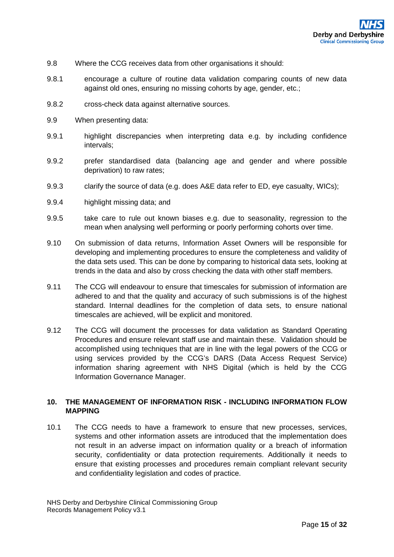- 9.8 Where the CCG receives data from other organisations it should:
- 9.8.1 encourage a culture of routine data validation comparing counts of new data against old ones, ensuring no missing cohorts by age, gender, etc.;
- 9.8.2 cross-check data against alternative sources.
- 9.9 When presenting data:
- 9.9.1 highlight discrepancies when interpreting data e.g. by including confidence intervals;
- 9.9.2 prefer standardised data (balancing age and gender and where possible deprivation) to raw rates;
- 9.9.3 clarify the source of data (e.g. does A&E data refer to ED, eye casualty, WICs);
- 9.9.4 highlight missing data; and
- 9.9.5 take care to rule out known biases e.g. due to seasonality, regression to the mean when analysing well performing or poorly performing cohorts over time.
- 9.10 On submission of data returns, Information Asset Owners will be responsible for developing and implementing procedures to ensure the completeness and validity of the data sets used. This can be done by comparing to historical data sets, looking at trends in the data and also by cross checking the data with other staff members.
- 9.11 The CCG will endeavour to ensure that timescales for submission of information are adhered to and that the quality and accuracy of such submissions is of the highest standard. Internal deadlines for the completion of data sets, to ensure national timescales are achieved, will be explicit and monitored.
- 9.12 The CCG will document the processes for data validation as Standard Operating Procedures and ensure relevant staff use and maintain these. Validation should be accomplished using techniques that are in line with the legal powers of the CCG or using services provided by the CCG's DARS (Data Access Request Service) information sharing agreement with NHS Digital (which is held by the CCG Information Governance Manager.

## <span id="page-14-0"></span>**10. THE MANAGEMENT OF INFORMATION RISK - INCLUDING INFORMATION FLOW MAPPING**

10.1 The CCG needs to have a framework to ensure that new processes, services, systems and other information assets are introduced that the implementation does not result in an adverse impact on information quality or a breach of information security, confidentiality or data protection requirements. Additionally it needs to ensure that existing processes and procedures remain compliant relevant security and confidentiality legislation and codes of practice.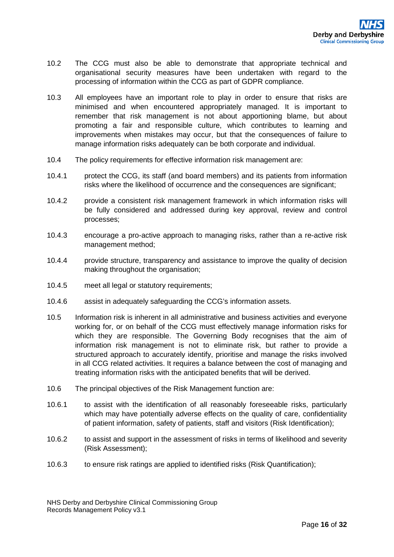- 10.2 The CCG must also be able to demonstrate that appropriate technical and organisational security measures have been undertaken with regard to the processing of information within the CCG as part of GDPR compliance.
- 10.3 All employees have an important role to play in order to ensure that risks are minimised and when encountered appropriately managed. It is important to remember that risk management is not about apportioning blame, but about promoting a fair and responsible culture, which contributes to learning and improvements when mistakes may occur, but that the consequences of failure to manage information risks adequately can be both corporate and individual.
- 10.4 The policy requirements for effective information risk management are:
- 10.4.1 protect the CCG, its staff (and board members) and its patients from information risks where the likelihood of occurrence and the consequences are significant;
- 10.4.2 provide a consistent risk management framework in which information risks will be fully considered and addressed during key approval, review and control processes;
- 10.4.3 encourage a pro-active approach to managing risks, rather than a re-active risk management method;
- 10.4.4 provide structure, transparency and assistance to improve the quality of decision making throughout the organisation;
- 10.4.5 meet all legal or statutory requirements;
- 10.4.6 assist in adequately safeguarding the CCG's information assets.
- 10.5 Information risk is inherent in all administrative and business activities and everyone working for, or on behalf of the CCG must effectively manage information risks for which they are responsible. The Governing Body recognises that the aim of information risk management is not to eliminate risk, but rather to provide a structured approach to accurately identify, prioritise and manage the risks involved in all CCG related activities. It requires a balance between the cost of managing and treating information risks with the anticipated benefits that will be derived.
- 10.6 The principal objectives of the Risk Management function are:
- 10.6.1 to assist with the identification of all reasonably foreseeable risks, particularly which may have potentially adverse effects on the quality of care, confidentiality of patient information, safety of patients, staff and visitors (Risk Identification);
- 10.6.2 to assist and support in the assessment of risks in terms of likelihood and severity (Risk Assessment);
- 10.6.3 to ensure risk ratings are applied to identified risks (Risk Quantification);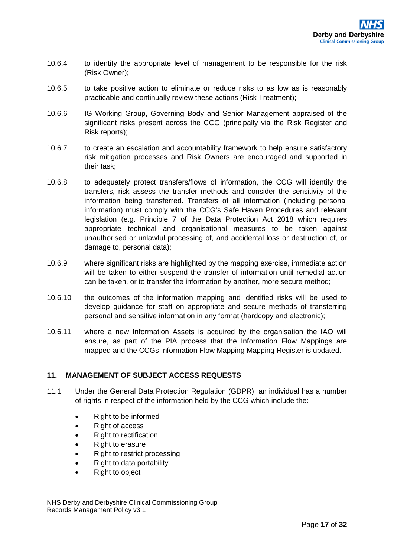- 10.6.4 to identify the appropriate level of management to be responsible for the risk (Risk Owner);
- 10.6.5 to take positive action to eliminate or reduce risks to as low as is reasonably practicable and continually review these actions (Risk Treatment);
- 10.6.6 IG Working Group, Governing Body and Senior Management appraised of the significant risks present across the CCG (principally via the Risk Register and Risk reports);
- 10.6.7 to create an escalation and accountability framework to help ensure satisfactory risk mitigation processes and Risk Owners are encouraged and supported in their task;
- 10.6.8 to adequately protect transfers/flows of information, the CCG will identify the transfers, risk assess the transfer methods and consider the sensitivity of the information being transferred. Transfers of all information (including personal information) must comply with the CCG's Safe Haven Procedures and relevant legislation (e.g. Principle 7 of the Data Protection Act 2018 which requires appropriate technical and organisational measures to be taken against unauthorised or unlawful processing of, and accidental loss or destruction of, or damage to, personal data);
- 10.6.9 where significant risks are highlighted by the mapping exercise, immediate action will be taken to either suspend the transfer of information until remedial action can be taken, or to transfer the information by another, more secure method;
- 10.6.10 the outcomes of the information mapping and identified risks will be used to develop guidance for staff on appropriate and secure methods of transferring personal and sensitive information in any format (hardcopy and electronic);
- 10.6.11 where a new Information Assets is acquired by the organisation the IAO will ensure, as part of the PIA process that the Information Flow Mappings are mapped and the CCGs Information Flow Mapping Mapping Register is updated.

#### <span id="page-16-0"></span>**11. MANAGEMENT OF SUBJECT ACCESS REQUESTS**

- 11.1 Under the General Data Protection Regulation (GDPR), an individual has a number of rights in respect of the information held by the CCG which include the:
	- Right to be informed
	- Right of access
	- Right to rectification
	- Right to erasure
	- Right to restrict processing
	- Right to data portability
	- Right to object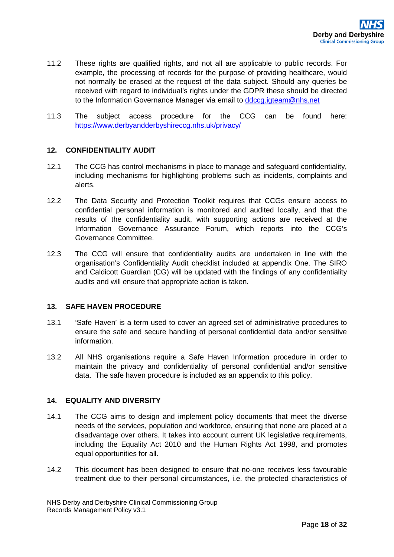- 11.2 These rights are qualified rights, and not all are applicable to public records. For example, the processing of records for the purpose of providing healthcare, would not normally be erased at the request of the data subject. Should any queries be received with regard to individual's rights under the GDPR these should be directed to the Information Governance Manager via email to ddccg.jgteam@nhs.net
- 11.3 The subject access procedure for the CCG can be found here: <https://www.derbyandderbyshireccg.nhs.uk/privacy/>

#### <span id="page-17-0"></span>**12. CONFIDENTIALITY AUDIT**

- 12.1 The CCG has control mechanisms in place to manage and safeguard confidentiality, including mechanisms for highlighting problems such as incidents, complaints and alerts.
- 12.2 The Data Security and Protection Toolkit requires that CCGs ensure access to confidential personal information is monitored and audited locally, and that the results of the confidentiality audit, with supporting actions are received at the Information Governance Assurance Forum, which reports into the CCG's Governance Committee.
- 12.3 The CCG will ensure that confidentiality audits are undertaken in line with the organisation's Confidentiality Audit checklist included at appendix One. The SIRO and Caldicott Guardian (CG) will be updated with the findings of any confidentiality audits and will ensure that appropriate action is taken.

### <span id="page-17-1"></span>**13. SAFE HAVEN PROCEDURE**

- 13.1 'Safe Haven' is a term used to cover an agreed set of administrative procedures to ensure the safe and secure handling of personal confidential data and/or sensitive information.
- 13.2 All NHS organisations require a Safe Haven Information procedure in order to maintain the privacy and confidentiality of personal confidential and/or sensitive data. The safe haven procedure is included as an appendix to this policy.

#### <span id="page-17-2"></span>**14. EQUALITY AND DIVERSITY**

- 14.1 The CCG aims to design and implement policy documents that meet the diverse needs of the services, population and workforce, ensuring that none are placed at a disadvantage over others. It takes into account current UK legislative requirements, including the Equality Act 2010 and the Human Rights Act 1998, and promotes equal opportunities for all.
- 14.2 This document has been designed to ensure that no-one receives less favourable treatment due to their personal circumstances, i.e. the protected characteristics of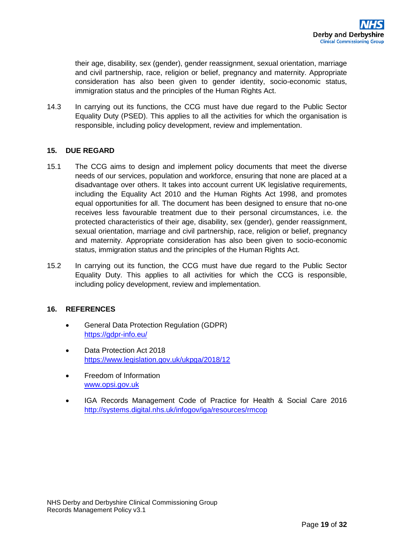their age, disability, sex (gender), gender reassignment, sexual orientation, marriage and civil partnership, race, religion or belief, pregnancy and maternity. Appropriate consideration has also been given to gender identity, socio-economic status, immigration status and the principles of the Human Rights Act.

14.3 In carrying out its functions, the CCG must have due regard to the Public Sector Equality Duty (PSED). This applies to all the activities for which the organisation is responsible, including policy development, review and implementation.

## <span id="page-18-0"></span>**15. DUE REGARD**

- 15.1 The CCG aims to design and implement policy documents that meet the diverse needs of our services, population and workforce, ensuring that none are placed at a disadvantage over others. It takes into account current UK legislative requirements, including the Equality Act 2010 and the Human Rights Act 1998, and promotes equal opportunities for all. The document has been designed to ensure that no-one receives less favourable treatment due to their personal circumstances, i.e. the protected characteristics of their age, disability, sex (gender), gender reassignment, sexual orientation, marriage and civil partnership, race, religion or belief, pregnancy and maternity. Appropriate consideration has also been given to socio-economic status, immigration status and the principles of the Human Rights Act.
- 15.2 In carrying out its function, the CCG must have due regard to the Public Sector Equality Duty. This applies to all activities for which the CCG is responsible, including policy development, review and implementation.

## <span id="page-18-1"></span>**16. REFERENCES**

- General Data Protection Regulation (GDPR) <https://gdpr-info.eu/>
- Data Protection Act 2018 <https://www.legislation.gov.uk/ukpga/2018/12>
- Freedom of Information [www.opsi.gov.uk](http://www.opsi.gov.uk/)
- IGA Records Management Code of Practice for Health & Social Care 2016 <http://systems.digital.nhs.uk/infogov/iga/resources/rmcop>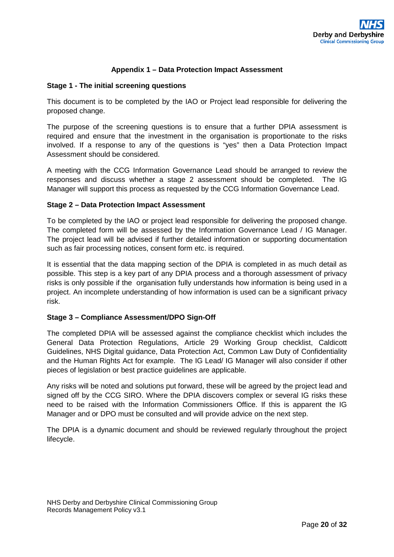## **Appendix 1 – Data Protection Impact Assessment**

#### <span id="page-19-0"></span>**Stage 1 - The initial screening questions**

This document is to be completed by the IAO or Project lead responsible for delivering the proposed change.

The purpose of the screening questions is to ensure that a further DPIA assessment is required and ensure that the investment in the organisation is proportionate to the risks involved. If a response to any of the questions is "yes" then a Data Protection Impact Assessment should be considered.

A meeting with the CCG Information Governance Lead should be arranged to review the responses and discuss whether a stage 2 assessment should be completed. The IG Manager will support this process as requested by the CCG Information Governance Lead.

#### **Stage 2 – Data Protection Impact Assessment**

To be completed by the IAO or project lead responsible for delivering the proposed change. The completed form will be assessed by the Information Governance Lead / IG Manager. The project lead will be advised if further detailed information or supporting documentation such as fair processing notices, consent form etc. is required.

It is essential that the data mapping section of the DPIA is completed in as much detail as possible. This step is a key part of any DPIA process and a thorough assessment of privacy risks is only possible if the organisation fully understands how information is being used in a project. An incomplete understanding of how information is used can be a significant privacy risk.

#### **Stage 3 – Compliance Assessment/DPO Sign-Off**

The completed DPIA will be assessed against the compliance checklist which includes the General Data Protection Regulations, Article 29 Working Group checklist, Caldicott Guidelines, NHS Digital guidance, Data Protection Act, Common Law Duty of Confidentiality and the Human Rights Act for example. The IG Lead/ IG Manager will also consider if other pieces of legislation or best practice guidelines are applicable.

Any risks will be noted and solutions put forward, these will be agreed by the project lead and signed off by the CCG SIRO. Where the DPIA discovers complex or several IG risks these need to be raised with the Information Commissioners Office. If this is apparent the IG Manager and or DPO must be consulted and will provide advice on the next step.

The DPIA is a dynamic document and should be reviewed regularly throughout the project lifecycle.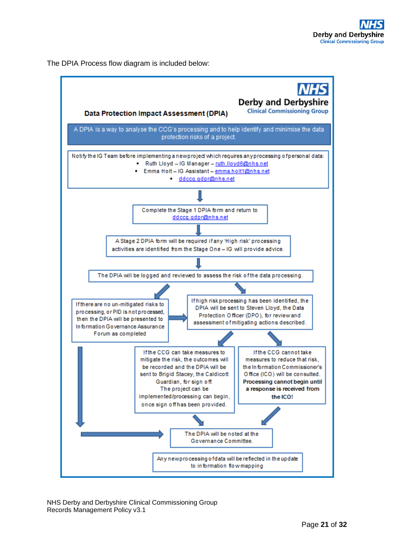The DPIA Process flow diagram is included below:

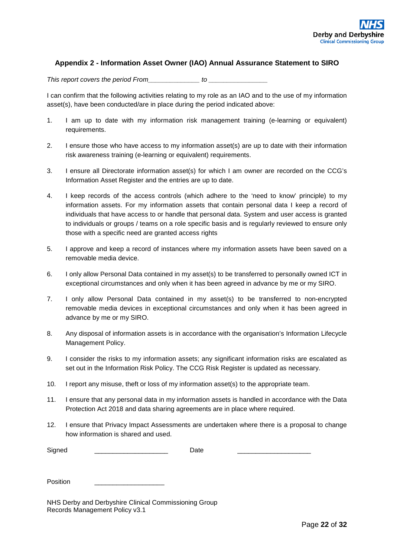#### <span id="page-21-0"></span>**Appendix 2 - Information Asset Owner (IAO) Annual Assurance Statement to SIRO**

*This report covers the period From\_\_\_\_\_\_\_\_\_\_\_\_\_\_ to \_\_\_\_\_\_\_\_\_\_\_\_\_\_\_\_* 

I can confirm that the following activities relating to my role as an IAO and to the use of my information asset(s), have been conducted/are in place during the period indicated above:

- 1. I am up to date with my information risk management training (e-learning or equivalent) requirements.
- 2. I ensure those who have access to my information asset(s) are up to date with their information risk awareness training (e-learning or equivalent) requirements.
- 3. I ensure all Directorate information asset(s) for which I am owner are recorded on the CCG's Information Asset Register and the entries are up to date.
- 4. I keep records of the access controls (which adhere to the 'need to know' principle) to my information assets. For my information assets that contain personal data I keep a record of individuals that have access to or handle that personal data. System and user access is granted to individuals or groups / teams on a role specific basis and is regularly reviewed to ensure only those with a specific need are granted access rights
- 5. I approve and keep a record of instances where my information assets have been saved on a removable media device.
- 6. I only allow Personal Data contained in my asset(s) to be transferred to personally owned ICT in exceptional circumstances and only when it has been agreed in advance by me or my SIRO.
- 7. I only allow Personal Data contained in my asset(s) to be transferred to non-encrypted removable media devices in exceptional circumstances and only when it has been agreed in advance by me or my SIRO.
- 8. Any disposal of information assets is in accordance with the organisation's Information Lifecycle Management Policy.
- 9. I consider the risks to my information assets; any significant information risks are escalated as set out in the Information Risk Policy. The CCG Risk Register is updated as necessary.
- 10. I report any misuse, theft or loss of my information asset(s) to the appropriate team.
- 11. I ensure that any personal data in my information assets is handled in accordance with the Data Protection Act 2018 and data sharing agreements are in place where required.
- 12. I ensure that Privacy Impact Assessments are undertaken where there is a proposal to change how information is shared and used.

| <b>.</b><br>או<br>_ | _____ |  |
|---------------------|-------|--|
|---------------------|-------|--|

Position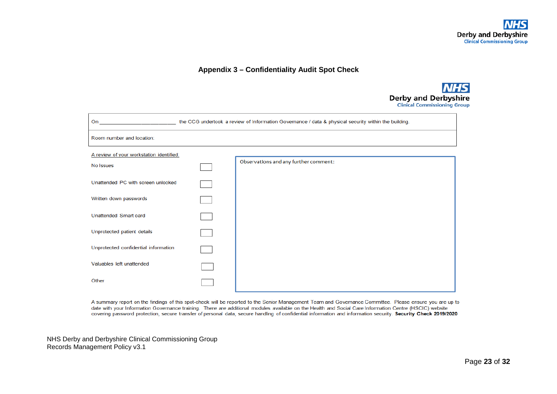#### **Appendix 3 – Confidentiality Audit Spot Check**



| the CCG undertook a review of Information Governance / data & physical security within the building.<br>On the contract of the contract of the contract of the contract of the contract of the contract of the contract of the contract of the contract of the contract of the contract of the contract of the contract of the contrac |  |                                       |  |  |  |
|----------------------------------------------------------------------------------------------------------------------------------------------------------------------------------------------------------------------------------------------------------------------------------------------------------------------------------------|--|---------------------------------------|--|--|--|
| Room number and location:                                                                                                                                                                                                                                                                                                              |  |                                       |  |  |  |
| A review of your workstation identified:                                                                                                                                                                                                                                                                                               |  |                                       |  |  |  |
| No Issues                                                                                                                                                                                                                                                                                                                              |  | Observations and any further comment: |  |  |  |
| Unattended PC with screen unlocked                                                                                                                                                                                                                                                                                                     |  |                                       |  |  |  |
| Written down passwords                                                                                                                                                                                                                                                                                                                 |  |                                       |  |  |  |
| Unattended Smart card                                                                                                                                                                                                                                                                                                                  |  |                                       |  |  |  |
| Unprotected patient details                                                                                                                                                                                                                                                                                                            |  |                                       |  |  |  |
| Unprotected confidential information                                                                                                                                                                                                                                                                                                   |  |                                       |  |  |  |
| Valuables left unattended                                                                                                                                                                                                                                                                                                              |  |                                       |  |  |  |
| Other                                                                                                                                                                                                                                                                                                                                  |  |                                       |  |  |  |

<span id="page-22-0"></span>A summary report on the findings of this spot-check will be reported to the Senior Management Team and Governance Committee. Please ensure you are up to date with your Information Governance training. There are additional modules available on the Health and Social Care Information Centre (HSCIC) website covering password protection, secure transfer of personal data, secure handling of confidential information and information security. Security Check 2019/2020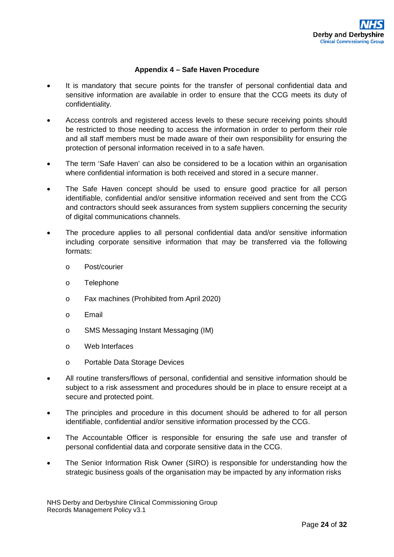## **Appendix 4 – Safe Haven Procedure**

- <span id="page-23-0"></span>It is mandatory that secure points for the transfer of personal confidential data and sensitive information are available in order to ensure that the CCG meets its duty of confidentiality.
- Access controls and registered access levels to these secure receiving points should be restricted to those needing to access the information in order to perform their role and all staff members must be made aware of their own responsibility for ensuring the protection of personal information received in to a safe haven.
- The term 'Safe Haven' can also be considered to be a location within an organisation where confidential information is both received and stored in a secure manner.
- The Safe Haven concept should be used to ensure good practice for all person identifiable, confidential and/or sensitive information received and sent from the CCG and contractors should seek assurances from system suppliers concerning the security of digital communications channels.
- The procedure applies to all personal confidential data and/or sensitive information including corporate sensitive information that may be transferred via the following formats:
	- o Post/courier
	- o Telephone
	- o Fax machines (Prohibited from April 2020)
	- o Email
	- o SMS Messaging Instant Messaging (IM)
	- o Web Interfaces
	- o Portable Data Storage Devices
- All routine transfers/flows of personal, confidential and sensitive information should be subject to a risk assessment and procedures should be in place to ensure receipt at a secure and protected point.
- The principles and procedure in this document should be adhered to for all person identifiable, confidential and/or sensitive information processed by the CCG.
- The Accountable Officer is responsible for ensuring the safe use and transfer of personal confidential data and corporate sensitive data in the CCG.
- The Senior Information Risk Owner (SIRO) is responsible for understanding how the strategic business goals of the organisation may be impacted by any information risks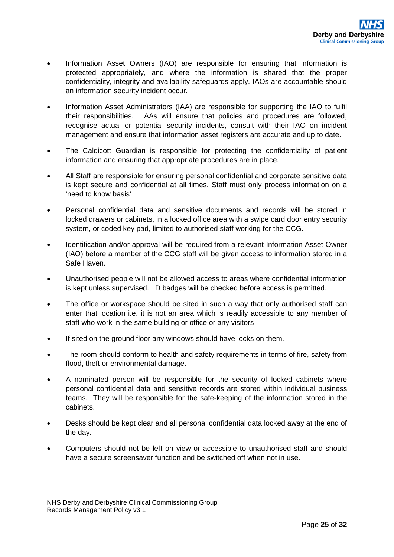- Information Asset Owners (IAO) are responsible for ensuring that information is protected appropriately, and where the information is shared that the proper confidentiality, integrity and availability safeguards apply. IAOs are accountable should an information security incident occur.
- Information Asset Administrators (IAA) are responsible for supporting the IAO to fulfil their responsibilities. IAAs will ensure that policies and procedures are followed, recognise actual or potential security incidents, consult with their IAO on incident management and ensure that information asset registers are accurate and up to date.
- The Caldicott Guardian is responsible for protecting the confidentiality of patient information and ensuring that appropriate procedures are in place.
- All Staff are responsible for ensuring personal confidential and corporate sensitive data is kept secure and confidential at all times. Staff must only process information on a 'need to know basis'
- Personal confidential data and sensitive documents and records will be stored in locked drawers or cabinets, in a locked office area with a swipe card door entry security system, or coded key pad, limited to authorised staff working for the CCG.
- Identification and/or approval will be required from a relevant Information Asset Owner (IAO) before a member of the CCG staff will be given access to information stored in a Safe Haven.
- Unauthorised people will not be allowed access to areas where confidential information is kept unless supervised. ID badges will be checked before access is permitted.
- The office or workspace should be sited in such a way that only authorised staff can enter that location i.e. it is not an area which is readily accessible to any member of staff who work in the same building or office or any visitors
- If sited on the ground floor any windows should have locks on them.
- The room should conform to health and safety requirements in terms of fire, safety from flood, theft or environmental damage.
- A nominated person will be responsible for the security of locked cabinets where personal confidential data and sensitive records are stored within individual business teams. They will be responsible for the safe-keeping of the information stored in the cabinets.
- Desks should be kept clear and all personal confidential data locked away at the end of the day.
- Computers should not be left on view or accessible to unauthorised staff and should have a secure screensaver function and be switched off when not in use.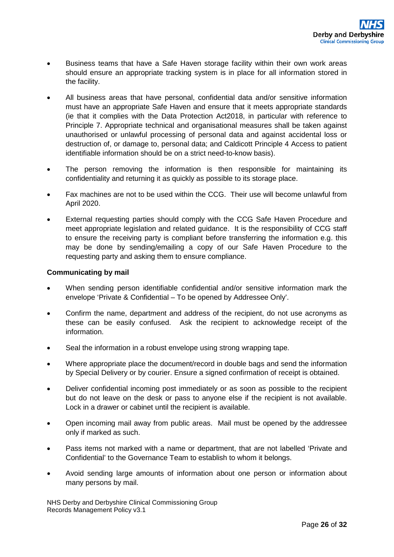- Business teams that have a Safe Haven storage facility within their own work areas should ensure an appropriate tracking system is in place for all information stored in the facility.
- All business areas that have personal, confidential data and/or sensitive information must have an appropriate Safe Haven and ensure that it meets appropriate standards (ie that it complies with the Data Protection Act2018, in particular with reference to Principle 7. Appropriate technical and organisational measures shall be taken against unauthorised or unlawful processing of personal data and against accidental loss or destruction of, or damage to, personal data; and Caldicott Principle 4 Access to patient identifiable information should be on a strict need-to-know basis).
- The person removing the information is then responsible for maintaining its confidentiality and returning it as quickly as possible to its storage place.
- Fax machines are not to be used within the CCG. Their use will become unlawful from April 2020.
- External requesting parties should comply with the CCG Safe Haven Procedure and meet appropriate legislation and related guidance. It is the responsibility of CCG staff to ensure the receiving party is compliant before transferring the information e.g. this may be done by sending/emailing a copy of our Safe Haven Procedure to the requesting party and asking them to ensure compliance.

#### **Communicating by mail**

- When sending person identifiable confidential and/or sensitive information mark the envelope 'Private & Confidential – To be opened by Addressee Only'.
- Confirm the name, department and address of the recipient, do not use acronyms as these can be easily confused. Ask the recipient to acknowledge receipt of the information.
- Seal the information in a robust envelope using strong wrapping tape.
- Where appropriate place the document/record in double bags and send the information by Special Delivery or by courier. Ensure a signed confirmation of receipt is obtained.
- Deliver confidential incoming post immediately or as soon as possible to the recipient but do not leave on the desk or pass to anyone else if the recipient is not available. Lock in a drawer or cabinet until the recipient is available.
- Open incoming mail away from public areas. Mail must be opened by the addressee only if marked as such.
- Pass items not marked with a name or department, that are not labelled 'Private and Confidential' to the Governance Team to establish to whom it belongs.
- Avoid sending large amounts of information about one person or information about many persons by mail.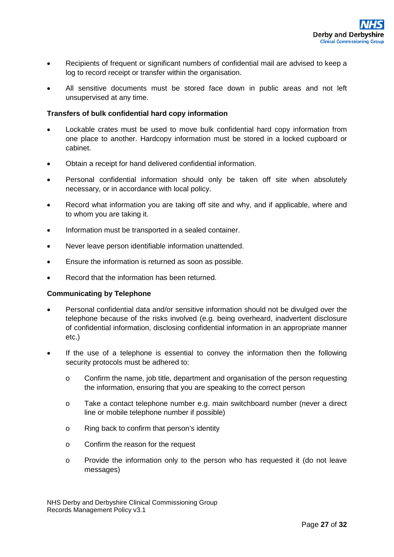- Recipients of frequent or significant numbers of confidential mail are advised to keep a log to record receipt or transfer within the organisation.
- All sensitive documents must be stored face down in public areas and not left unsupervised at any time.

#### **Transfers of bulk confidential hard copy information**

- Lockable crates must be used to move bulk confidential hard copy information from one place to another. Hardcopy information must be stored in a locked cupboard or cabinet.
- Obtain a receipt for hand delivered confidential information.
- Personal confidential information should only be taken off site when absolutely necessary, or in accordance with local policy.
- Record what information you are taking off site and why, and if applicable, where and to whom you are taking it.
- Information must be transported in a sealed container.
- Never leave person identifiable information unattended.
- Ensure the information is returned as soon as possible.
- Record that the information has been returned.

#### **Communicating by Telephone**

- Personal confidential data and/or sensitive information should not be divulged over the telephone because of the risks involved (e.g. being overheard, inadvertent disclosure of confidential information, disclosing confidential information in an appropriate manner etc.)
- If the use of a telephone is essential to convey the information then the following security protocols must be adhered to:
	- o Confirm the name, job title, department and organisation of the person requesting the information, ensuring that you are speaking to the correct person
	- o Take a contact telephone number e.g. main switchboard number (never a direct line or mobile telephone number if possible)
	- o Ring back to confirm that person's identity
	- o Confirm the reason for the request
	- o Provide the information only to the person who has requested it (do not leave messages)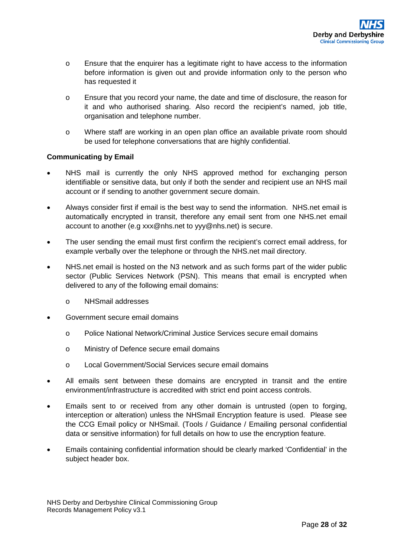- o Ensure that the enquirer has a legitimate right to have access to the information before information is given out and provide information only to the person who has requested it
- o Ensure that you record your name, the date and time of disclosure, the reason for it and who authorised sharing. Also record the recipient's named, job title, organisation and telephone number.
- o Where staff are working in an open plan office an available private room should be used for telephone conversations that are highly confidential.

#### **Communicating by Email**

- NHS mail is currently the only NHS approved method for exchanging person identifiable or sensitive data, but only if both the sender and recipient use an NHS mail account or if sending to another government secure domain.
- Always consider first if email is the best way to send the information. NHS.net email is automatically encrypted in transit, therefore any email sent from one NHS.net email account to another (e.g xxx@nhs.net to yyy@nhs.net) is secure.
- The user sending the email must first confirm the recipient's correct email address, for example verbally over the telephone or through the NHS, net mail directory.
- NHS, net email is hosted on the N3 network and as such forms part of the wider public sector (Public Services Network (PSN). This means that email is encrypted when delivered to any of the following email domains:
	- o NHSmail addresses
- Government secure email domains
	- o Police National Network/Criminal Justice Services secure email domains
	- o Ministry of Defence secure email domains
	- o Local Government/Social Services secure email domains
- All emails sent between these domains are encrypted in transit and the entire environment/infrastructure is accredited with strict end point access controls.
- Emails sent to or received from any other domain is untrusted (open to forging, interception or alteration) unless the NHSmail Encryption feature is used. Please see the CCG Email policy or NHSmail. (Tools / Guidance / Emailing personal confidential data or sensitive information) for full details on how to use the encryption feature.
- Emails containing confidential information should be clearly marked 'Confidential' in the subject header box.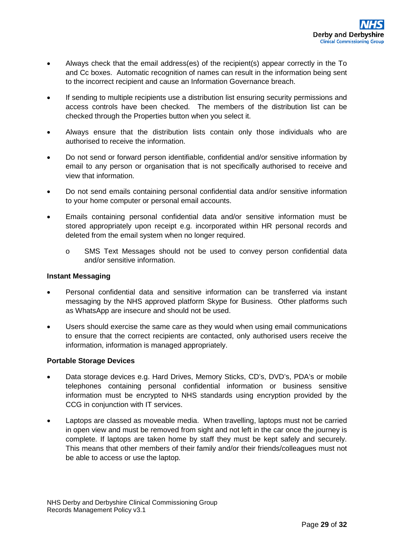- Always check that the email address(es) of the recipient(s) appear correctly in the To and Cc boxes. Automatic recognition of names can result in the information being sent to the incorrect recipient and cause an Information Governance breach.
- If sending to multiple recipients use a distribution list ensuring security permissions and access controls have been checked. The members of the distribution list can be checked through the Properties button when you select it.
- Always ensure that the distribution lists contain only those individuals who are authorised to receive the information.
- Do not send or forward person identifiable, confidential and/or sensitive information by email to any person or organisation that is not specifically authorised to receive and view that information.
- Do not send emails containing personal confidential data and/or sensitive information to your home computer or personal email accounts.
- Emails containing personal confidential data and/or sensitive information must be stored appropriately upon receipt e.g. incorporated within HR personal records and deleted from the email system when no longer required.
	- o SMS Text Messages should not be used to convey person confidential data and/or sensitive information.

#### **Instant Messaging**

- Personal confidential data and sensitive information can be transferred via instant messaging by the NHS approved platform Skype for Business. Other platforms such as WhatsApp are insecure and should not be used.
- Users should exercise the same care as they would when using email communications to ensure that the correct recipients are contacted, only authorised users receive the information, information is managed appropriately.

#### **Portable Storage Devices**

- Data storage devices e.g. Hard Drives, Memory Sticks, CD's, DVD's, PDA's or mobile telephones containing personal confidential information or business sensitive information must be encrypted to NHS standards using encryption provided by the CCG in conjunction with IT services.
- Laptops are classed as moveable media. When travelling, laptops must not be carried in open view and must be removed from sight and not left in the car once the journey is complete. If laptops are taken home by staff they must be kept safely and securely. This means that other members of their family and/or their friends/colleagues must not be able to access or use the laptop.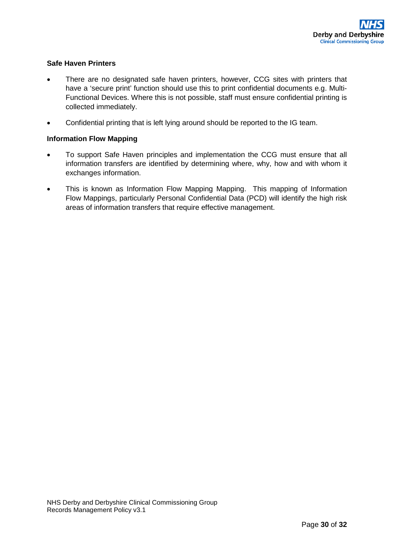## **Safe Haven Printers**

- There are no designated safe haven printers, however, CCG sites with printers that have a 'secure print' function should use this to print confidential documents e.g. Multi-Functional Devices. Where this is not possible, staff must ensure confidential printing is collected immediately.
- Confidential printing that is left lying around should be reported to the IG team.

## **Information Flow Mapping**

- To support Safe Haven principles and implementation the CCG must ensure that all information transfers are identified by determining where, why, how and with whom it exchanges information.
- This is known as Information Flow Mapping Mapping. This mapping of Information Flow Mappings, particularly Personal Confidential Data (PCD) will identify the high risk areas of information transfers that require effective management.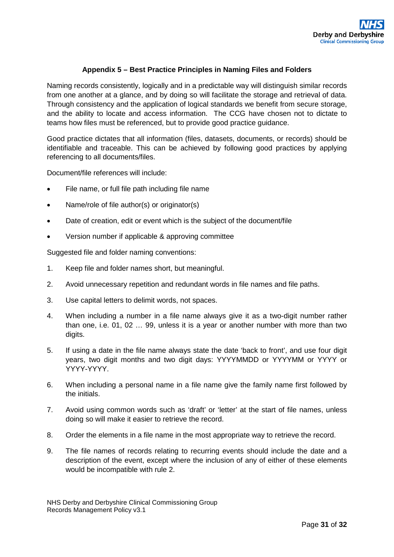#### **Appendix 5 – Best Practice Principles in Naming Files and Folders**

<span id="page-30-0"></span>Naming records consistently, logically and in a predictable way will distinguish similar records from one another at a glance, and by doing so will facilitate the storage and retrieval of data. Through consistency and the application of logical standards we benefit from secure storage, and the ability to locate and access information. The CCG have chosen not to dictate to teams how files must be referenced, but to provide good practice guidance.

Good practice dictates that all information (files, datasets, documents, or records) should be identifiable and traceable. This can be achieved by following good practices by applying referencing to all documents/files.

Document/file references will include:

- File name, or full file path including file name
- Name/role of file author(s) or originator(s)
- Date of creation, edit or event which is the subject of the document/file
- Version number if applicable & approving committee

Suggested file and folder naming conventions:

- 1. Keep file and folder names short, but meaningful.
- 2. Avoid unnecessary repetition and redundant words in file names and file paths.
- 3. Use capital letters to delimit words, not spaces.
- 4. When including a number in a file name always give it as a two-digit number rather than one, i.e. 01, 02 … 99, unless it is a year or another number with more than two digits.
- 5. If using a date in the file name always state the date 'back to front', and use four digit years, two digit months and two digit days: YYYYMMDD or YYYYMM or YYYY or YYYY-YYYY.
- 6. When including a personal name in a file name give the family name first followed by the initials.
- 7. Avoid using common words such as 'draft' or 'letter' at the start of file names, unless doing so will make it easier to retrieve the record.
- 8. Order the elements in a file name in the most appropriate way to retrieve the record.
- 9. The file names of records relating to recurring events should include the date and a description of the event, except where the inclusion of any of either of these elements would be incompatible with rule 2.